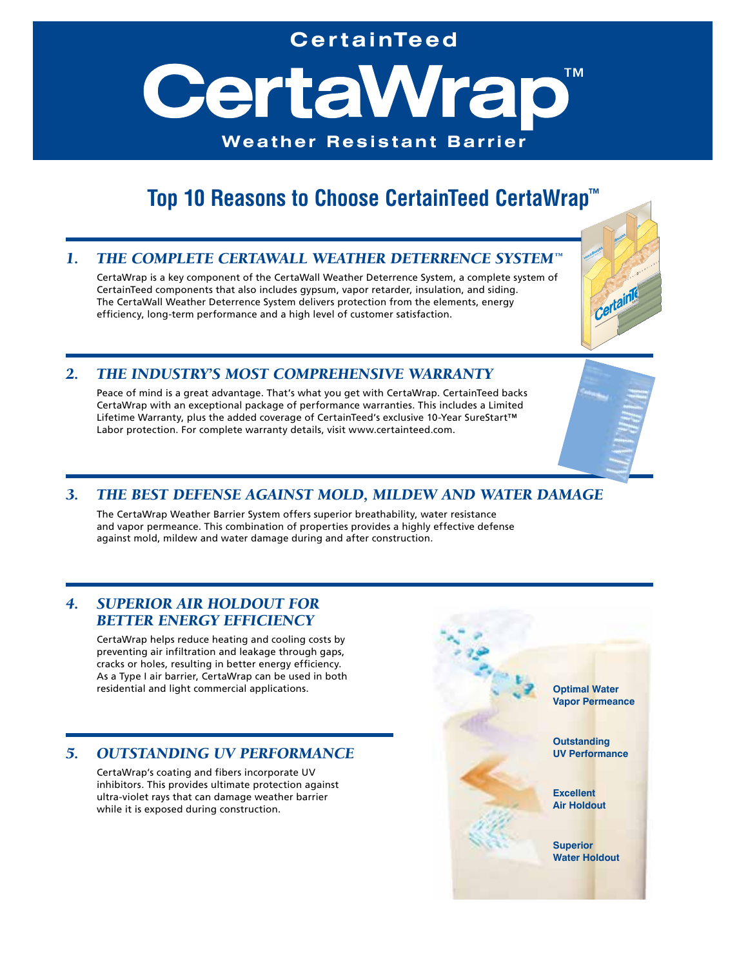# **Cer tainTeed**

CertaWrar **TM Weather Resistant Barrier**

# **Top 10 Reasons to Choose CertainTeed CertaWrap™**

# *1. THE COMPLETE CERTAWALL WEATHER DETERRENCE SYSTEM™*

CertaWrap is a key component of the CertaWall Weather Deterrence System, a complete system of CertainTeed components that also includes gypsum, vapor retarder, insulation, and siding. The CertaWall Weather Deterrence System delivers protection from the elements, energy efficiency, long-term performance and a high level of customer satisfaction.



**Optimal Water Vapor Permeance**

**Outstanding UV Performance**

**Excellent Air Holdout**

**Superior Water Holdout**

### *2. THE INDUSTRY'S MOST COMPREHENSIVE WARRANTY*

Peace of mind is a great advantage. That's what you get with CertaWrap. CertainTeed backs CertaWrap with an exceptional package of performance warranties. This includes a Limited Lifetime Warranty, plus the added coverage of CertainTeed's exclusive 10-Year SureStart™ Labor protection. For complete warranty details, visit www.certainteed.com.

# *3. THE BEST DEFENSE AGAINST MOLD, MILDEW AND WATER DAMAGE*

The CertaWrap Weather Barrier System offers superior breathability, water resistance and vapor permeance. This combination of properties provides a highly effective defense against mold, mildew and water damage during and after construction.

# *4. SUPERIOR AIR HOLDOUT FOR BETTER ENERGY EFFICIENCY*

CertaWrap helps reduce heating and cooling costs by preventing air infiltration and leakage through gaps, cracks or holes, resulting in better energy efficiency. As a Type I air barrier, CertaWrap can be used in both residential and light commercial applications.

### *5. OUTSTANDING UV PERFORMANCE*

CertaWrap's coating and fibers incorporate UV inhibitors. This provides ultimate protection against ultra-violet rays that can damage weather barrier while it is exposed during construction.